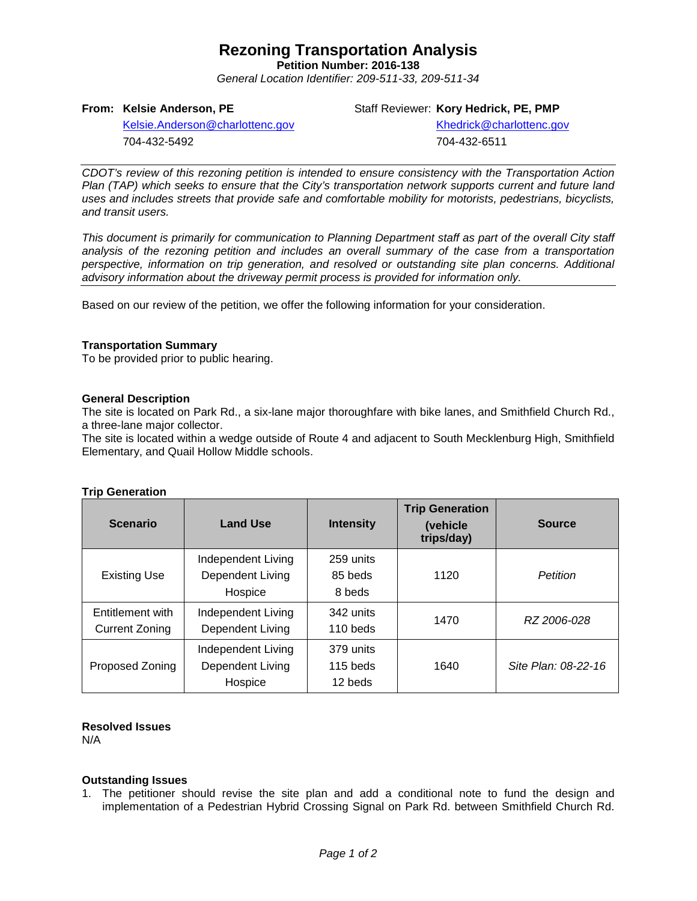## **Rezoning Transportation Analysis**

**Petition Number: 2016-138**

*General Location Identifier: 209-511-33, 209-511-34*

#### **From: Kelsie Anderson, PE**

Staff Reviewer: **Kory Hedrick, PE, PMP**

[Kelsie.Anderson@charlottenc.gov](mailto:Kelsie.Anderson@charlottenc.gov) 704-432-5492

Khedrick@charlottenc.gov 704-432-6511

*CDOT's review of this rezoning petition is intended to ensure consistency with the Transportation Action Plan (TAP) which seeks to ensure that the City's transportation network supports current and future land uses and includes streets that provide safe and comfortable mobility for motorists, pedestrians, bicyclists, and transit users.*

*This document is primarily for communication to Planning Department staff as part of the overall City staff analysis of the rezoning petition and includes an overall summary of the case from a transportation perspective, information on trip generation, and resolved or outstanding site plan concerns. Additional advisory information about the driveway permit process is provided for information only.*

Based on our review of the petition, we offer the following information for your consideration.

#### **Transportation Summary**

To be provided prior to public hearing.

#### **General Description**

The site is located on Park Rd., a six-lane major thoroughfare with bike lanes, and Smithfield Church Rd., a three-lane major collector.

The site is located within a wedge outside of Route 4 and adjacent to South Mecklenburg High, Smithfield Elementary, and Quail Hollow Middle schools.

#### **Trip Generation**

| <b>Scenario</b>       | <b>Land Use</b>    | <b>Intensity</b> | <b>Trip Generation</b><br>(vehicle<br>trips/day) | <b>Source</b>       |  |
|-----------------------|--------------------|------------------|--------------------------------------------------|---------------------|--|
|                       | Independent Living | 259 units        |                                                  |                     |  |
| <b>Existing Use</b>   | Dependent Living   | 85 beds          | 1120                                             | Petition            |  |
|                       | Hospice            | 8 beds           |                                                  |                     |  |
| Entitlement with      | Independent Living | 342 units        | 1470                                             | RZ 2006-028         |  |
| <b>Current Zoning</b> | Dependent Living   | 110 beds         |                                                  |                     |  |
| Proposed Zoning       | Independent Living | 379 units        |                                                  |                     |  |
|                       | Dependent Living   | 115 beds         | 1640                                             | Site Plan: 08-22-16 |  |
|                       | Hospice            | 12 beds          |                                                  |                     |  |

#### **Resolved Issues**

N/A

### **Outstanding Issues**

1. The petitioner should revise the site plan and add a conditional note to fund the design and implementation of a Pedestrian Hybrid Crossing Signal on Park Rd. between Smithfield Church Rd.